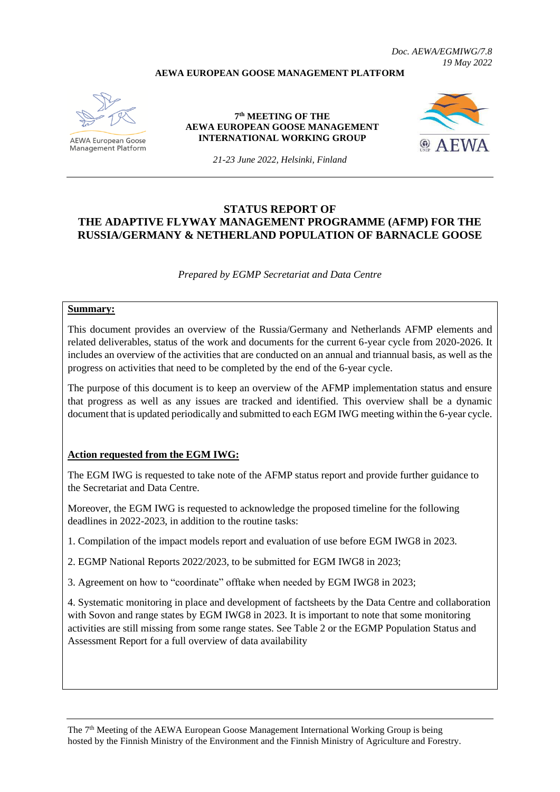### **AEWA EUROPEAN GOOSE MANAGEMENT PLATFORM**



**Management Platform** 

**7 th MEETING OF THE AEWA EUROPEAN GOOSE MANAGEMENT INTERNATIONAL WORKING GROUP**



*Doc. AEWA/EGMIWG/7.8*

*19 May 2022*

*21-23 June 2022, Helsinki, Finland*

# **STATUS REPORT OF THE ADAPTIVE FLYWAY MANAGEMENT PROGRAMME (AFMP) FOR THE RUSSIA/GERMANY & NETHERLAND POPULATION OF BARNACLE GOOSE**

*Prepared by EGMP Secretariat and Data Centre*

#### **Summary:**

This document provides an overview of the Russia/Germany and Netherlands AFMP elements and related deliverables, status of the work and documents for the current 6-year cycle from 2020-2026. It includes an overview of the activities that are conducted on an annual and triannual basis, as well as the progress on activities that need to be completed by the end of the 6-year cycle.

The purpose of this document is to keep an overview of the AFMP implementation status and ensure that progress as well as any issues are tracked and identified. This overview shall be a dynamic document that is updated periodically and submitted to each EGM IWG meeting within the 6-year cycle.

### **Action requested from the EGM IWG:**

The EGM IWG is requested to take note of the AFMP status report and provide further guidance to the Secretariat and Data Centre.

Moreover, the EGM IWG is requested to acknowledge the proposed timeline for the following deadlines in 2022-2023, in addition to the routine tasks:

1. Compilation of the impact models report and evaluation of use before EGM IWG8 in 2023.

2. EGMP National Reports 2022/2023, to be submitted for EGM IWG8 in 2023;

3. Agreement on how to "coordinate" offtake when needed by EGM IWG8 in 2023;

4. Systematic monitoring in place and development of factsheets by the Data Centre and collaboration with Sovon and range states by EGM IWG8 in 2023. It is important to note that some monitoring activities are still missing from some range states. See Table 2 or the EGMP Population Status and Assessment Report for a full overview of data availability

The 7<sup>th</sup> Meeting of the AEWA European Goose Management International Working Group is being hosted by the Finnish Ministry of the Environment and the Finnish Ministry of Agriculture and Forestry.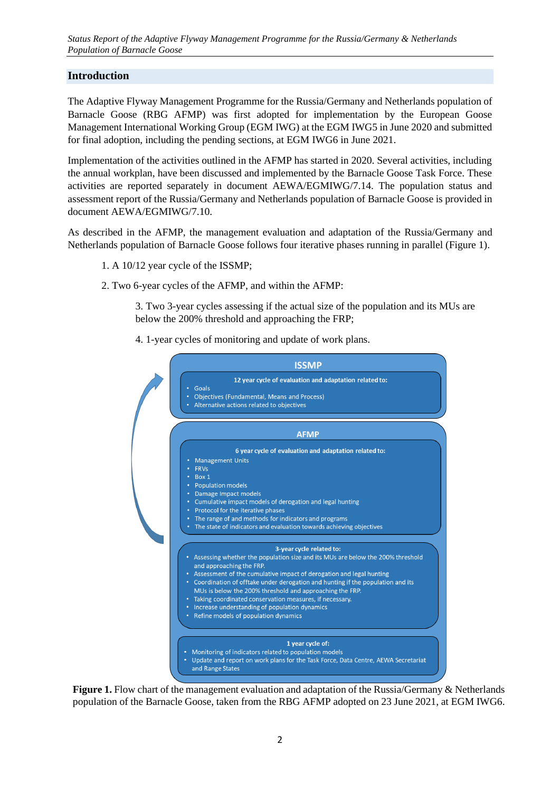# **Introduction**

The Adaptive Flyway Management Programme for the Russia/Germany and Netherlands population of Barnacle Goose (RBG AFMP) was first adopted for implementation by the European Goose Management International Working Group (EGM IWG) at the EGM IWG5 in June 2020 and submitted for final adoption, including the pending sections, at EGM IWG6 in June 2021.

Implementation of the activities outlined in the AFMP has started in 2020. Several activities, including the annual workplan, have been discussed and implemented by the Barnacle Goose Task Force. These activities are reported separately in document AEWA/EGMIWG/7.14. The population status and assessment report of the Russia/Germany and Netherlands population of Barnacle Goose is provided in document AEWA/EGMIWG/7.10.

As described in the AFMP, the management evaluation and adaptation of the Russia/Germany and Netherlands population of Barnacle Goose follows four iterative phases running in parallel (Figure 1).

- 1. A 10/12 year cycle of the ISSMP;
- 2. Two 6-year cycles of the AFMP, and within the AFMP:

3. Two 3-year cycles assessing if the actual size of the population and its MUs are below the 200% threshold and approaching the FRP;

4. 1-year cycles of monitoring and update of work plans.



**Figure 1.** Flow chart of the management evaluation and adaptation of the Russia/Germany & Netherlands population of the Barnacle Goose, taken from the RBG AFMP adopted on 23 June 2021, at EGM IWG6.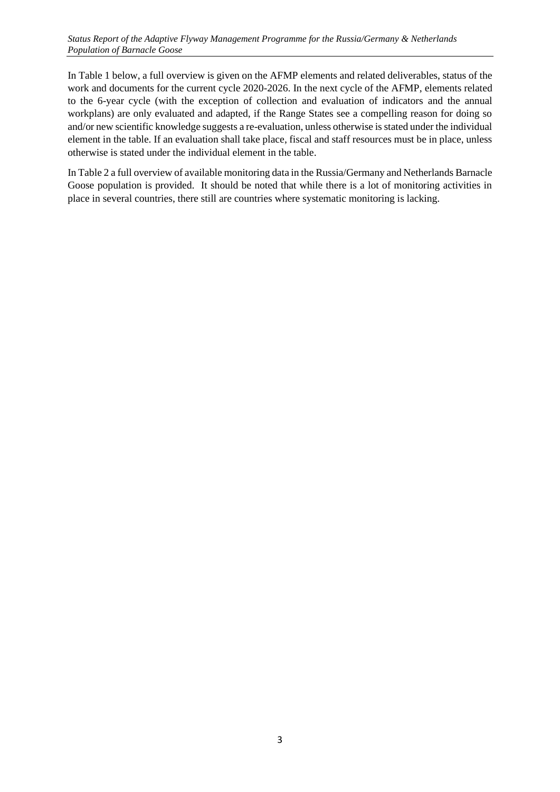In Table 1 below, a full overview is given on the AFMP elements and related deliverables, status of the work and documents for the current cycle 2020-2026. In the next cycle of the AFMP, elements related to the 6-year cycle (with the exception of collection and evaluation of indicators and the annual workplans) are only evaluated and adapted, if the Range States see a compelling reason for doing so and/or new scientific knowledge suggests a re-evaluation, unless otherwise is stated under the individual element in the table. If an evaluation shall take place, fiscal and staff resources must be in place, unless otherwise is stated under the individual element in the table.

In Table 2 a full overview of available monitoring data in the Russia/Germany and Netherlands Barnacle Goose population is provided. It should be noted that while there is a lot of monitoring activities in place in several countries, there still are countries where systematic monitoring is lacking.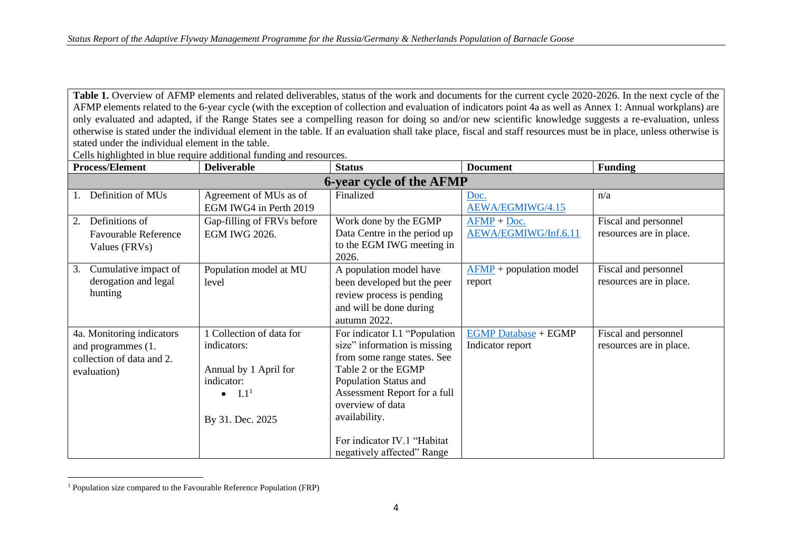Table 1. Overview of AFMP elements and related deliverables, status of the work and documents for the current cycle 2020-2026. In the next cycle of the AFMP elements related to the 6-year cycle (with the exception of collection and evaluation of indicators point 4a as well as Annex 1: Annual workplans) are only evaluated and adapted, if the Range States see a compelling reason for doing so and/or new scientific knowledge suggests a re-evaluation, unless otherwise is stated under the individual element in the table. If an evaluation shall take place, fiscal and staff resources must be in place, unless otherwise is stated under the individual element in the table.

Cells highlighted in blue require additional funding and resources.

| <b>Process/Element</b>      | <b>Deliverable</b>         | <b>Status</b>                 | <b>Document</b>                             | <b>Funding</b>          |  |  |  |  |
|-----------------------------|----------------------------|-------------------------------|---------------------------------------------|-------------------------|--|--|--|--|
| 6-year cycle of the AFMP    |                            |                               |                                             |                         |  |  |  |  |
| Definition of MUs           | Agreement of MUs as of     | Finalized                     | Doc.                                        | n/a                     |  |  |  |  |
|                             | EGM IWG4 in Perth 2019     |                               | AEWA/EGMIWG/4.15                            |                         |  |  |  |  |
| Definitions of<br>2.        | Gap-filling of FRVs before | Work done by the EGMP         | $AFMP + Doc.$                               | Fiscal and personnel    |  |  |  |  |
| <b>Favourable Reference</b> | <b>EGM IWG 2026.</b>       | Data Centre in the period up  | AEWA/EGMIWG/Inf.6.11                        | resources are in place. |  |  |  |  |
| Values (FRVs)               |                            | to the EGM IWG meeting in     |                                             |                         |  |  |  |  |
|                             |                            | 2026.                         |                                             |                         |  |  |  |  |
| Cumulative impact of<br>3.  | Population model at MU     | A population model have       | $\overline{\text{AFMP}}$ + population model | Fiscal and personnel    |  |  |  |  |
| derogation and legal        | level                      | been developed but the peer   | report                                      | resources are in place. |  |  |  |  |
| hunting                     |                            | review process is pending     |                                             |                         |  |  |  |  |
|                             |                            | and will be done during       |                                             |                         |  |  |  |  |
|                             |                            | autumn 2022.                  |                                             |                         |  |  |  |  |
| 4a. Monitoring indicators   | 1 Collection of data for   | For indicator I.1 "Population | <b>EGMP Database + EGMP</b>                 | Fiscal and personnel    |  |  |  |  |
| and programmes (1.          | indicators:                | size" information is missing  | Indicator report                            | resources are in place. |  |  |  |  |
| collection of data and 2.   |                            | from some range states. See   |                                             |                         |  |  |  |  |
| evaluation)                 | Annual by 1 April for      | Table 2 or the EGMP           |                                             |                         |  |  |  |  |
|                             | indicator:                 | Population Status and         |                                             |                         |  |  |  |  |
|                             | I.1 <sup>1</sup>           | Assessment Report for a full  |                                             |                         |  |  |  |  |
|                             |                            | overview of data              |                                             |                         |  |  |  |  |
|                             | By 31. Dec. 2025           | availability.                 |                                             |                         |  |  |  |  |
|                             |                            |                               |                                             |                         |  |  |  |  |
|                             |                            | For indicator IV.1 "Habitat   |                                             |                         |  |  |  |  |
|                             |                            | negatively affected" Range    |                                             |                         |  |  |  |  |

<sup>&</sup>lt;sup>1</sup> Population size compared to the Favourable Reference Population (FRP)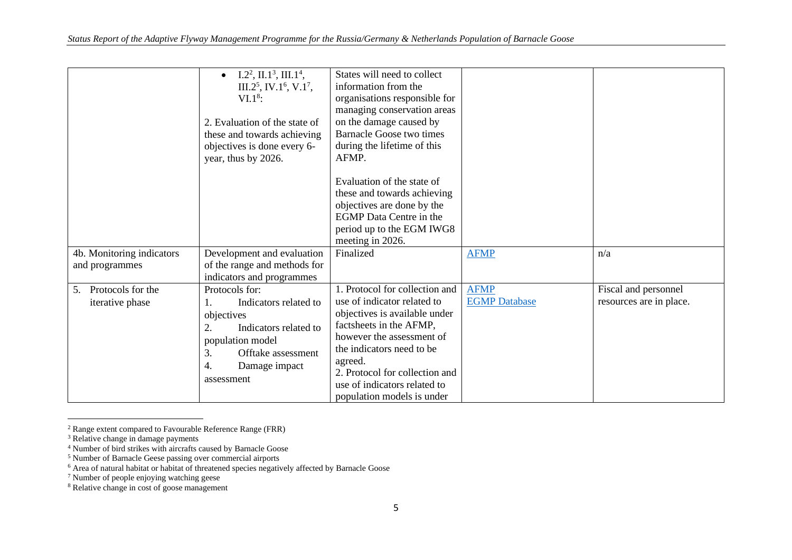|                                     | $I.22, II.13, III.14,$<br>III.2 <sup>5</sup> , IV.1 <sup>6</sup> , V.1 <sup>7</sup> ,<br>$VI.18$ :<br>2. Evaluation of the state of<br>these and towards achieving<br>objectives is done every 6-<br>year, thus by 2026. | States will need to collect<br>information from the<br>organisations responsible for<br>managing conservation areas<br>on the damage caused by<br><b>Barnacle Goose two times</b><br>during the lifetime of this<br>AFMP.<br>Evaluation of the state of<br>these and towards achieving<br>objectives are done by the<br><b>EGMP</b> Data Centre in the<br>period up to the EGM IWG8<br>meeting in 2026. |                      |                         |
|-------------------------------------|--------------------------------------------------------------------------------------------------------------------------------------------------------------------------------------------------------------------------|---------------------------------------------------------------------------------------------------------------------------------------------------------------------------------------------------------------------------------------------------------------------------------------------------------------------------------------------------------------------------------------------------------|----------------------|-------------------------|
| 4b. Monitoring indicators           | Development and evaluation                                                                                                                                                                                               | Finalized                                                                                                                                                                                                                                                                                                                                                                                               | <b>AFMP</b>          | n/a                     |
| and programmes                      | of the range and methods for                                                                                                                                                                                             |                                                                                                                                                                                                                                                                                                                                                                                                         |                      |                         |
|                                     | indicators and programmes                                                                                                                                                                                                |                                                                                                                                                                                                                                                                                                                                                                                                         |                      |                         |
| Protocols for the<br>5 <sub>1</sub> | Protocols for:                                                                                                                                                                                                           | 1. Protocol for collection and                                                                                                                                                                                                                                                                                                                                                                          | <b>AFMP</b>          | Fiscal and personnel    |
| iterative phase                     | Indicators related to<br>1.                                                                                                                                                                                              | use of indicator related to                                                                                                                                                                                                                                                                                                                                                                             | <b>EGMP</b> Database | resources are in place. |
|                                     | objectives                                                                                                                                                                                                               | objectives is available under                                                                                                                                                                                                                                                                                                                                                                           |                      |                         |
|                                     | 2.<br>Indicators related to                                                                                                                                                                                              | factsheets in the AFMP,<br>however the assessment of                                                                                                                                                                                                                                                                                                                                                    |                      |                         |
|                                     | population model                                                                                                                                                                                                         | the indicators need to be.                                                                                                                                                                                                                                                                                                                                                                              |                      |                         |
|                                     | 3.<br>Offtake assessment                                                                                                                                                                                                 | agreed.                                                                                                                                                                                                                                                                                                                                                                                                 |                      |                         |
|                                     | 4.<br>Damage impact                                                                                                                                                                                                      | 2. Protocol for collection and                                                                                                                                                                                                                                                                                                                                                                          |                      |                         |
|                                     | assessment                                                                                                                                                                                                               | use of indicators related to                                                                                                                                                                                                                                                                                                                                                                            |                      |                         |
|                                     |                                                                                                                                                                                                                          | population models is under                                                                                                                                                                                                                                                                                                                                                                              |                      |                         |

 $2$  Range extent compared to Favourable Reference Range (FRR)

<sup>&</sup>lt;sup>3</sup> Relative change in damage payments

<sup>4</sup> Number of bird strikes with aircrafts caused by Barnacle Goose

<sup>&</sup>lt;sup>5</sup> Number of Barnacle Geese passing over commercial airports

 $6$  Area of natural habitat or habitat of threatened species negatively affected by Barnacle Goose

<sup>&</sup>lt;sup>7</sup> Number of people enjoying watching geese

<sup>&</sup>lt;sup>8</sup> Relative change in cost of goose management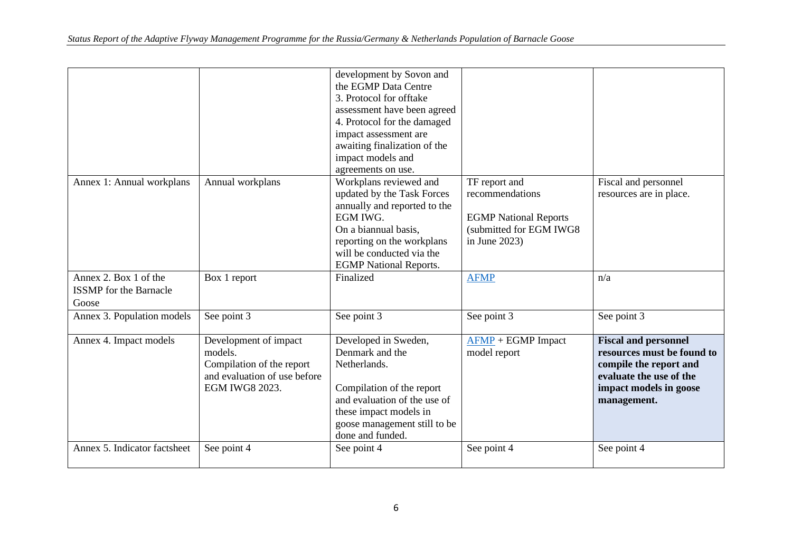|                                                                 |                                                                                                                 | development by Sovon and<br>the EGMP Data Centre<br>3. Protocol for offtake<br>assessment have been agreed<br>4. Protocol for the damaged<br>impact assessment are<br>awaiting finalization of the<br>impact models and<br>agreements on use. |                                                                                                                 |                                                                                                                                                         |
|-----------------------------------------------------------------|-----------------------------------------------------------------------------------------------------------------|-----------------------------------------------------------------------------------------------------------------------------------------------------------------------------------------------------------------------------------------------|-----------------------------------------------------------------------------------------------------------------|---------------------------------------------------------------------------------------------------------------------------------------------------------|
| Annex 1: Annual workplans                                       | Annual workplans                                                                                                | Workplans reviewed and<br>updated by the Task Forces<br>annually and reported to the<br>EGM IWG.<br>On a biannual basis,<br>reporting on the workplans<br>will be conducted via the<br><b>EGMP</b> National Reports.                          | TF report and<br>recommendations<br><b>EGMP</b> National Reports<br>(submitted for EGM IWG8<br>in June $2023$ ) | Fiscal and personnel<br>resources are in place.                                                                                                         |
| Annex 2. Box 1 of the<br><b>ISSMP</b> for the Barnacle<br>Goose | Box 1 report                                                                                                    | Finalized                                                                                                                                                                                                                                     | <b>AFMP</b>                                                                                                     | n/a                                                                                                                                                     |
| Annex 3. Population models                                      | See point 3                                                                                                     | See point 3                                                                                                                                                                                                                                   | See point 3                                                                                                     | See point 3                                                                                                                                             |
| Annex 4. Impact models                                          | Development of impact<br>models.<br>Compilation of the report<br>and evaluation of use before<br>EGM IWG8 2023. | Developed in Sweden,<br>Denmark and the<br>Netherlands.<br>Compilation of the report<br>and evaluation of the use of<br>these impact models in<br>goose management still to be<br>done and funded.                                            | $AFMP + EGMP$ Impact<br>model report                                                                            | <b>Fiscal and personnel</b><br>resources must be found to<br>compile the report and<br>evaluate the use of the<br>impact models in goose<br>management. |
| Annex 5. Indicator factsheet                                    | See point 4                                                                                                     | See point 4                                                                                                                                                                                                                                   | See point 4                                                                                                     | See point 4                                                                                                                                             |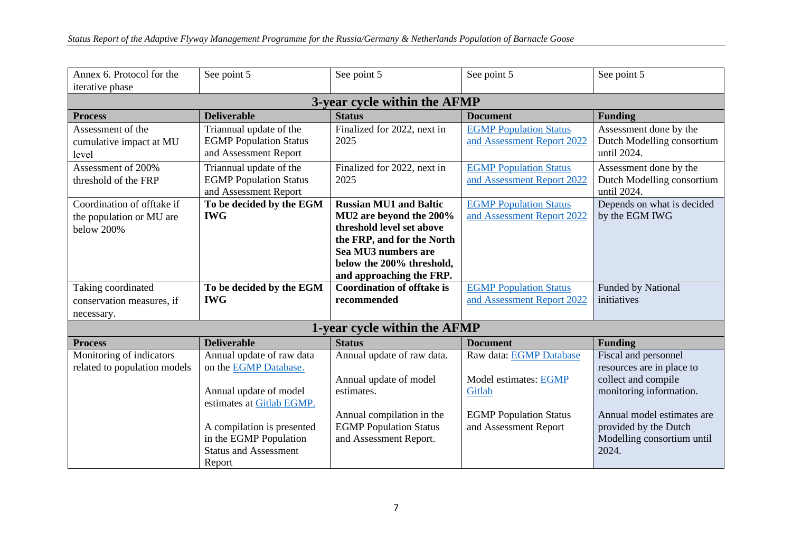| Annex 6. Protocol for the    | See point 5                                            | See point 5                                       | See point 5                   | See point 5                         |  |  |  |  |  |
|------------------------------|--------------------------------------------------------|---------------------------------------------------|-------------------------------|-------------------------------------|--|--|--|--|--|
| iterative phase              |                                                        |                                                   |                               |                                     |  |  |  |  |  |
| 3-year cycle within the AFMP |                                                        |                                                   |                               |                                     |  |  |  |  |  |
| <b>Process</b>               | <b>Deliverable</b>                                     | <b>Status</b>                                     | <b>Document</b>               | <b>Funding</b>                      |  |  |  |  |  |
| Assessment of the            | Triannual update of the                                | Finalized for 2022, next in                       | <b>EGMP Population Status</b> | Assessment done by the              |  |  |  |  |  |
| cumulative impact at MU      | <b>EGMP</b> Population Status                          | 2025                                              | and Assessment Report 2022    | Dutch Modelling consortium          |  |  |  |  |  |
| level                        | and Assessment Report                                  |                                                   |                               | until 2024.                         |  |  |  |  |  |
| Assessment of 200%           | Triannual update of the                                | Finalized for 2022, next in                       | <b>EGMP Population Status</b> | Assessment done by the              |  |  |  |  |  |
| threshold of the FRP         | <b>EGMP</b> Population Status                          | 2025                                              | and Assessment Report 2022    | Dutch Modelling consortium          |  |  |  |  |  |
|                              | and Assessment Report                                  |                                                   |                               | until 2024.                         |  |  |  |  |  |
| Coordination of offtake if   | To be decided by the EGM                               | <b>Russian MU1 and Baltic</b>                     | <b>EGMP</b> Population Status | Depends on what is decided          |  |  |  |  |  |
| the population or MU are     | <b>IWG</b>                                             | MU2 are beyond the 200%                           | and Assessment Report 2022    | by the EGM IWG                      |  |  |  |  |  |
| below 200%                   |                                                        | threshold level set above                         |                               |                                     |  |  |  |  |  |
|                              |                                                        | the FRP, and for the North<br>Sea MU3 numbers are |                               |                                     |  |  |  |  |  |
|                              |                                                        | below the 200% threshold,                         |                               |                                     |  |  |  |  |  |
|                              |                                                        | and approaching the FRP.                          |                               |                                     |  |  |  |  |  |
| Taking coordinated           | To be decided by the EGM                               | <b>Coordination of offtake is</b>                 | <b>EGMP Population Status</b> | Funded by National                  |  |  |  |  |  |
| conservation measures, if    | <b>IWG</b>                                             | recommended                                       | and Assessment Report 2022    | initiatives                         |  |  |  |  |  |
| necessary.                   |                                                        |                                                   |                               |                                     |  |  |  |  |  |
| 1-year cycle within the AFMP |                                                        |                                                   |                               |                                     |  |  |  |  |  |
| <b>Process</b>               | <b>Deliverable</b>                                     | <b>Status</b>                                     | <b>Document</b>               | <b>Funding</b>                      |  |  |  |  |  |
| Monitoring of indicators     | Annual update of raw data                              | Annual update of raw data.                        | Raw data: EGMP Database       | Fiscal and personnel                |  |  |  |  |  |
| related to population models | on the EGMP Database.                                  |                                                   |                               | resources are in place to           |  |  |  |  |  |
|                              |                                                        | Annual update of model                            | Model estimates: EGMP         | collect and compile                 |  |  |  |  |  |
|                              | Annual update of model                                 | estimates.                                        | Gitlab                        | monitoring information.             |  |  |  |  |  |
|                              | estimates at Gitlab EGMP.                              |                                                   |                               |                                     |  |  |  |  |  |
|                              |                                                        | Annual compilation in the                         | <b>EGMP</b> Population Status | Annual model estimates are          |  |  |  |  |  |
|                              | A compilation is presented                             | <b>EGMP</b> Population Status                     | and Assessment Report         | provided by the Dutch               |  |  |  |  |  |
|                              | in the EGMP Population<br><b>Status and Assessment</b> | and Assessment Report.                            |                               | Modelling consortium until<br>2024. |  |  |  |  |  |
|                              | Report                                                 |                                                   |                               |                                     |  |  |  |  |  |
|                              |                                                        |                                                   |                               |                                     |  |  |  |  |  |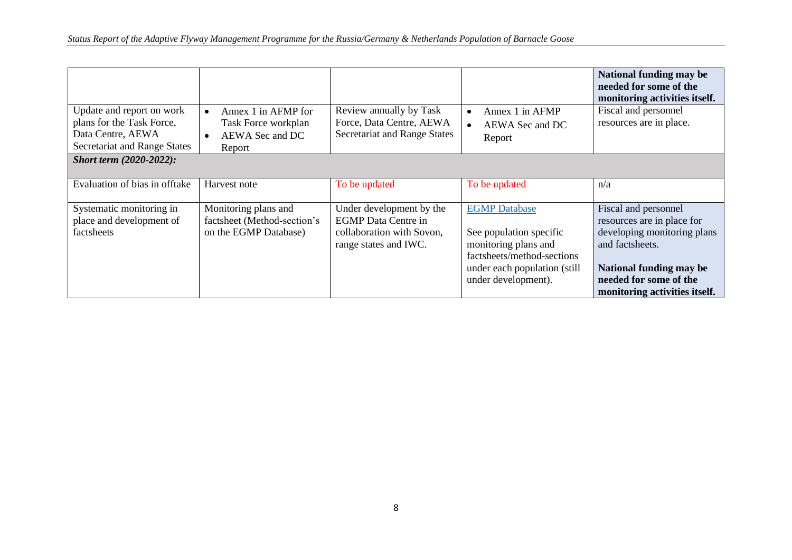| Update and report on work<br>plans for the Task Force,<br>Data Centre, AEWA<br>Secretariat and Range States | Annex 1 in AFMP for<br>Task Force workplan<br>AEWA Sec and DC<br>Report      | Review annually by Task<br>Force, Data Centre, AEWA<br>Secretariat and Range States                          | Annex 1 in AFMP<br>AEWA Sec and DC<br>Report                                                                                                                 | National funding may be<br>needed for some of the<br>monitoring activities itself.<br>Fiscal and personnel<br>resources are in place.                                                      |
|-------------------------------------------------------------------------------------------------------------|------------------------------------------------------------------------------|--------------------------------------------------------------------------------------------------------------|--------------------------------------------------------------------------------------------------------------------------------------------------------------|--------------------------------------------------------------------------------------------------------------------------------------------------------------------------------------------|
| <b>Short term (2020-2022):</b>                                                                              |                                                                              |                                                                                                              |                                                                                                                                                              |                                                                                                                                                                                            |
| Evaluation of bias in offtake                                                                               | Harvest note                                                                 | To be updated                                                                                                | To be updated                                                                                                                                                | n/a                                                                                                                                                                                        |
| Systematic monitoring in<br>place and development of<br>factsheets                                          | Monitoring plans and<br>factsheet (Method-section's<br>on the EGMP Database) | Under development by the<br><b>EGMP</b> Data Centre in<br>collaboration with Sovon,<br>range states and IWC. | <b>EGMP</b> Database<br>See population specific<br>monitoring plans and<br>factsheets/method-sections<br>under each population (still<br>under development). | Fiscal and personnel<br>resources are in place for<br>developing monitoring plans<br>and factsheets.<br>National funding may be<br>needed for some of the<br>monitoring activities itself. |